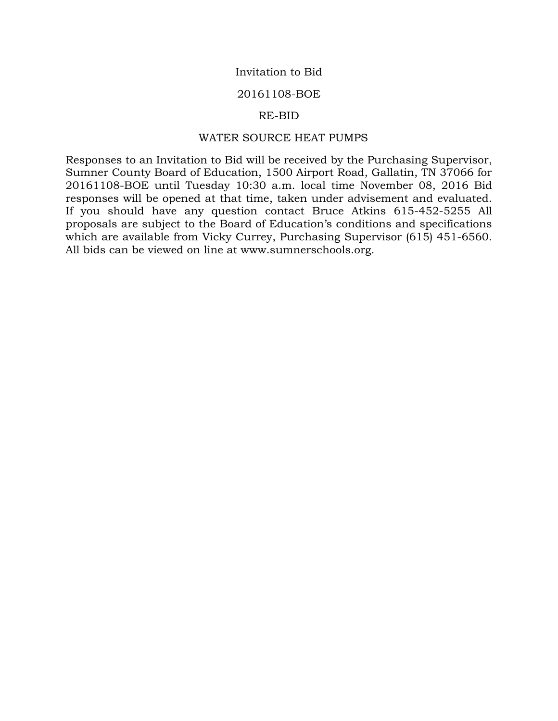## Invitation to Bid

#### 20161108-BOE

#### RE-BID

#### WATER SOURCE HEAT PUMPS

Responses to an Invitation to Bid will be received by the Purchasing Supervisor, Sumner County Board of Education, 1500 Airport Road, Gallatin, TN 37066 for 20161108-BOE until Tuesday 10:30 a.m. local time November 08, 2016 Bid responses will be opened at that time, taken under advisement and evaluated. If you should have any question contact Bruce Atkins 615-452-5255 All proposals are subject to the Board of Education's conditions and specifications which are available from Vicky Currey, Purchasing Supervisor (615) 451-6560. All bids can be viewed on line at www.sumnerschools.org.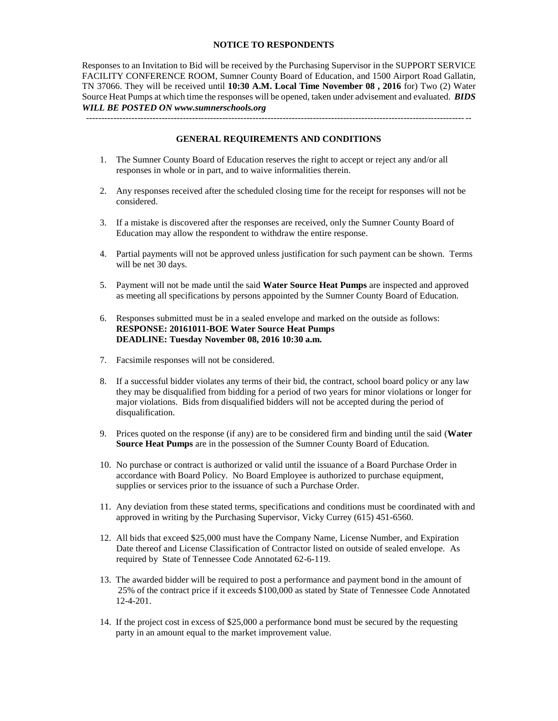#### **NOTICE TO RESPONDENTS**

Responses to an Invitation to Bid will be received by the Purchasing Supervisor in the SUPPORT SERVICE FACILITY CONFERENCE ROOM, Sumner County Board of Education, and 1500 Airport Road Gallatin, TN 37066. They will be received until **10:30 A.M. Local Time November 08 , 2016** for) Two (2) Water Source Heat Pumps at which time the responses will be opened, taken under advisement and evaluated. *BIDS WILL BE POSTED ON www.sumnerschools.org*

**GENERAL REQUIREMENTS AND CONDITIONS**

-------------------------------------------------------------------------------------------------------------------------------

- 1. The Sumner County Board of Education reserves the right to accept or reject any and/or all responses in whole or in part, and to waive informalities therein.
- 2. Any responses received after the scheduled closing time for the receipt for responses will not be considered.
- 3. If a mistake is discovered after the responses are received, only the Sumner County Board of Education may allow the respondent to withdraw the entire response.
- 4. Partial payments will not be approved unless justification for such payment can be shown. Terms will be net 30 days.
- 5. Payment will not be made until the said **Water Source Heat Pumps** are inspected and approved as meeting all specifications by persons appointed by the Sumner County Board of Education.
- 6. Responses submitted must be in a sealed envelope and marked on the outside as follows: **RESPONSE: 20161011-BOE Water Source Heat Pumps DEADLINE: Tuesday November 08, 2016 10:30 a.m.**
- 7. Facsimile responses will not be considered.
- 8. If a successful bidder violates any terms of their bid, the contract, school board policy or any law they may be disqualified from bidding for a period of two years for minor violations or longer for major violations. Bids from disqualified bidders will not be accepted during the period of disqualification.
- 9. Prices quoted on the response (if any) are to be considered firm and binding until the said (**Water Source Heat Pumps** are in the possession of the Sumner County Board of Education.
- 10. No purchase or contract is authorized or valid until the issuance of a Board Purchase Order in accordance with Board Policy. No Board Employee is authorized to purchase equipment, supplies or services prior to the issuance of such a Purchase Order.
- 11. Any deviation from these stated terms, specifications and conditions must be coordinated with and approved in writing by the Purchasing Supervisor, Vicky Currey (615) 451-6560.
- 12. All bids that exceed \$25,000 must have the Company Name, License Number, and Expiration Date thereof and License Classification of Contractor listed on outside of sealed envelope. As required by State of Tennessee Code Annotated 62-6-119.
- 13. The awarded bidder will be required to post a performance and payment bond in the amount of 25% of the contract price if it exceeds \$100,000 as stated by State of Tennessee Code Annotated 12-4-201.
- 14. If the project cost in excess of \$25,000 a performance bond must be secured by the requesting party in an amount equal to the market improvement value.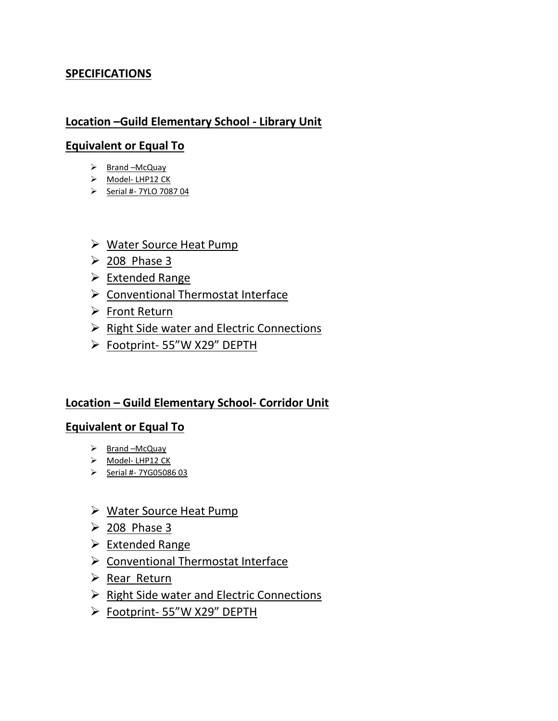# **SPECIFICATIONS**

## **Location –Guild Elementary School - Library Unit**

## **Equivalent or Equal To**

- $\triangleright$  Brand –McQuay
- > Model- LHP12 CK
- $\triangleright$  Serial #- 7YLO 7087 04
- Water Source Heat Pump
- $\geq$  208 Phase 3
- $\triangleright$  Extended Range
- $\triangleright$  Conventional Thermostat Interface
- $\triangleright$  Front Return
- $\triangleright$  Right Side water and Electric Connections
- Footprint- 55"W X29" DEPTH

## **Location – Guild Elementary School- Corridor Unit**

## **Equivalent or Equal To**

- $\triangleright$  Brand –McQuay
- Model-LHP12 CK
- $\triangleright$  Serial #- 7YG05086 03
- Water Source Heat Pump
- $\geq$  208 Phase 3
- $\triangleright$  Extended Range
- $\triangleright$  Conventional Thermostat Interface
- $\triangleright$  Rear Return
- $\triangleright$  Right Side water and Electric Connections
- > Footprint- 55"W X29" DEPTH